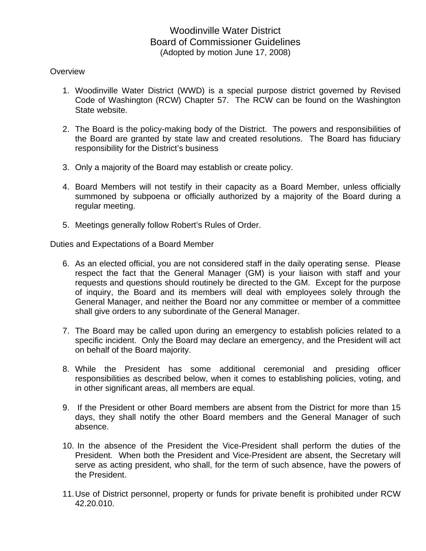## Woodinville Water District Board of Commissioner Guidelines (Adopted by motion June 17, 2008)

## **Overview**

- 1. Woodinville Water District (WWD) is a special purpose district governed by Revised Code of Washington (RCW) Chapter 57. The RCW can be found on the Washington State website.
- 2. The Board is the policy-making body of the District. The powers and responsibilities of the Board are granted by state law and created resolutions. The Board has fiduciary responsibility for the District's business
- 3. Only a majority of the Board may establish or create policy.
- 4. Board Members will not testify in their capacity as a Board Member, unless officially summoned by subpoena or officially authorized by a majority of the Board during a regular meeting.
- 5. Meetings generally follow Robert's Rules of Order.

Duties and Expectations of a Board Member

- 6. As an elected official, you are not considered staff in the daily operating sense. Please respect the fact that the General Manager (GM) is your liaison with staff and your requests and questions should routinely be directed to the GM. Except for the purpose of inquiry, the Board and its members will deal with employees solely through the General Manager, and neither the Board nor any committee or member of a committee shall give orders to any subordinate of the General Manager.
- 7. The Board may be called upon during an emergency to establish policies related to a specific incident. Only the Board may declare an emergency, and the President will act on behalf of the Board majority.
- 8. While the President has some additional ceremonial and presiding officer responsibilities as described below, when it comes to establishing policies, voting, and in other significant areas, all members are equal.
- 9. If the President or other Board members are absent from the District for more than 15 days, they shall notify the other Board members and the General Manager of such absence.
- 10. In the absence of the President the Vice-President shall perform the duties of the President. When both the President and Vice-President are absent, the Secretary will serve as acting president, who shall, for the term of such absence, have the powers of the President.
- 11. Use of District personnel, property or funds for private benefit is prohibited under RCW 42.20.010.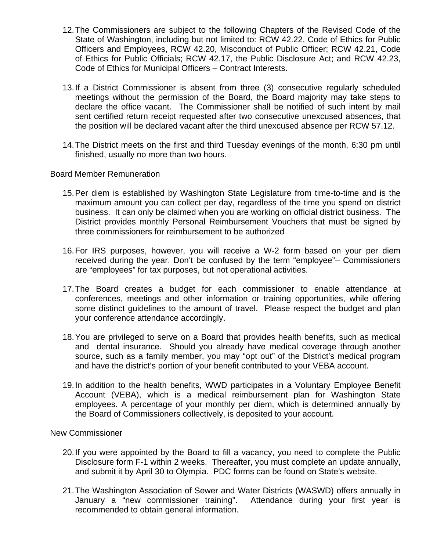- 12. The Commissioners are subject to the following Chapters of the Revised Code of the State of Washington, including but not limited to: RCW 42.22, Code of Ethics for Public Officers and Employees, RCW 42.20, Misconduct of Public Officer; RCW 42.21, Code of Ethics for Public Officials; RCW 42.17, the Public Disclosure Act; and RCW 42.23, Code of Ethics for Municipal Officers – Contract Interests.
- 13. If a District Commissioner is absent from three (3) consecutive regularly scheduled meetings without the permission of the Board, the Board majority may take steps to declare the office vacant. The Commissioner shall be notified of such intent by mail sent certified return receipt requested after two consecutive unexcused absences, that the position will be declared vacant after the third unexcused absence per RCW 57.12.
- 14. The District meets on the first and third Tuesday evenings of the month, 6:30 pm until finished, usually no more than two hours.

Board Member Remuneration

- 15. Per diem is established by Washington State Legislature from time-to-time and is the maximum amount you can collect per day, regardless of the time you spend on district business. It can only be claimed when you are working on official district business. The District provides monthly Personal Reimbursement Vouchers that must be signed by three commissioners for reimbursement to be authorized
- 16. For IRS purposes, however, you will receive a W-2 form based on your per diem received during the year. Don't be confused by the term "employee"– Commissioners are "employees" for tax purposes, but not operational activities.
- 17. The Board creates a budget for each commissioner to enable attendance at conferences, meetings and other information or training opportunities, while offering some distinct guidelines to the amount of travel. Please respect the budget and plan your conference attendance accordingly.
- 18. You are privileged to serve on a Board that provides health benefits, such as medical and dental insurance. Should you already have medical coverage through another source, such as a family member, you may "opt out" of the District's medical program and have the district's portion of your benefit contributed to your VEBA account.
- 19. In addition to the health benefits, WWD participates in a Voluntary Employee Benefit Account (VEBA), which is a medical reimbursement plan for Washington State employees. A percentage of your monthly per diem, which is determined annually by the Board of Commissioners collectively, is deposited to your account.

New Commissioner

- 20. If you were appointed by the Board to fill a vacancy, you need to complete the Public Disclosure form F-1 within 2 weeks. Thereafter, you must complete an update annually, and submit it by April 30 to Olympia. PDC forms can be found on State's website.
- 21. The Washington Association of Sewer and Water Districts (WASWD) offers annually in January a "new commissioner training". Attendance during your first year is recommended to obtain general information.